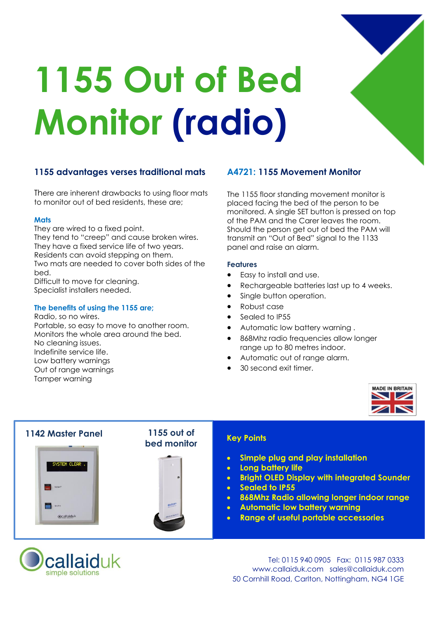

# **1155 Out of Bed Monitor (radio)**

# **1155 advantages verses traditional mats**

There are inherent drawbacks to using floor mats to monitor out of bed residents, these are;

## **Mats**

They are wired to a fixed point. They tend to "creep" and cause broken wires. They have a fixed service life of two years. Residents can avoid stepping on them. Two mats are needed to cover both sides of the bed.

Difficult to move for cleaning. Specialist installers needed.

## **The benefits of using the 1155 are;**

Radio, so no wires. Portable, so easy to move to another room. Monitors the whole area around the bed. No cleaning issues. Indefinite service life. Low battery warnings Out of range warnings Tamper warning

# **A4721: 1155 Movement Monitor**

The 1155 floor standing movement monitor is placed facing the bed of the person to be monitored. A single SET button is pressed on top of the PAM and the Carer leaves the room. Should the person get out of bed the PAM will transmit an "Out of Bed" signal to the 1133 panel and raise an alarm.

## **Features**

- · Easy to install and use.
- · Rechargeable batteries last up to 4 weeks.
- Single button operation.
- · Robust case
- Sealed to IP55
- · Automatic low battery warning .
- · 868Mhz radio frequencies allow longer range up to 80 metres indoor.
- Automatic out of range alarm.
- 30 second exit timer.







Tel: 0115 940 0905 Fax: 0115 987 0333 www.callaiduk.com sales@callaiduk.com 50 Cornhill Road, Carlton, Nottingham, NG4 1GE